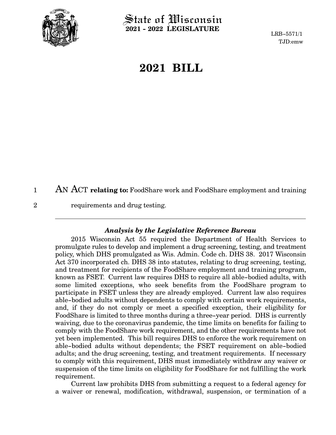

2

 $\operatorname{\mathsf{State}}$  of Wisconsin **2021 - 2022 LEGISLATURE**

LRB-5571/1 TJD:emw

# **2021 BILL**

AN ACT **relating to:** FoodShare work and FoodShare employment and training 1

requirements and drug testing.

#### *Analysis by the Legislative Reference Bureau*

2015 Wisconsin Act 55 required the Department of Health Services to promulgate rules to develop and implement a drug screening, testing, and treatment policy, which DHS promulgated as Wis. Admin. Code ch. DHS 38. 2017 Wisconsin Act 370 incorporated ch. DHS 38 into statutes, relating to drug screening, testing, and treatment for recipients of the FoodShare employment and training program, known as FSET. Current law requires DHS to require all able-bodied adults, with some limited exceptions, who seek benefits from the FoodShare program to participate in FSET unless they are already employed. Current law also requires able-bodied adults without dependents to comply with certain work requirements, and, if they do not comply or meet a specified exception, their eligibility for FoodShare is limited to three months during a three-year period. DHS is currently waiving, due to the coronavirus pandemic, the time limits on benefits for failing to comply with the FoodShare work requirement, and the other requirements have not yet been implemented. This bill requires DHS to enforce the work requirement on able-bodied adults without dependents; the FSET requirement on able-bodied adults; and the drug screening, testing, and treatment requirements. If necessary to comply with this requirement, DHS must immediately withdraw any waiver or suspension of the time limits on eligibility for FoodShare for not fulfilling the work requirement.

Current law prohibits DHS from submitting a request to a federal agency for a waiver or renewal, modification, withdrawal, suspension, or termination of a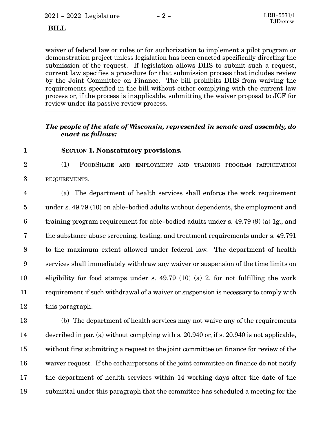# **BILL**

waiver of federal law or rules or for authorization to implement a pilot program or demonstration project unless legislation has been enacted specifically directing the submission of the request. If legislation allows DHS to submit such a request, current law specifies a procedure for that submission process that includes review by the Joint Committee on Finance. The bill prohibits DHS from waiving the requirements specified in the bill without either complying with the current law process or, if the process is inapplicable, submitting the waiver proposal to JCF for review under its passive review process.

## *The people of the state of Wisconsin, represented in senate and assembly, do enact as follows:*

1

## **SECTION 1. Nonstatutory provisions.**

(1) FOODSHARE AND EMPLOYMENT AND TRAINING PROGRAM PARTICIPATION REQUIREMENTS. 2 3

(a) The department of health services shall enforce the work requirement under s. 49.79 (10) on able-bodied adults without dependents, the employment and training program requirement for able-bodied adults under s. 49.79 (9) (a) 1g., and the substance abuse screening, testing, and treatment requirements under s. 49.791 to the maximum extent allowed under federal law. The department of health services shall immediately withdraw any waiver or suspension of the time limits on eligibility for food stamps under s. 49.79 (10) (a) 2. for not fulfilling the work requirement if such withdrawal of a waiver or suspension is necessary to comply with this paragraph. 4 5 6 7 8 9 10 11 12

(b) The department of health services may not waive any of the requirements described in par. (a) without complying with s. 20.940 or, if s. 20.940 is not applicable, without first submitting a request to the joint committee on finance for review of the waiver request. If the cochairpersons of the joint committee on finance do not notify the department of health services within 14 working days after the date of the submittal under this paragraph that the committee has scheduled a meeting for the 13 14 15 16 17 18